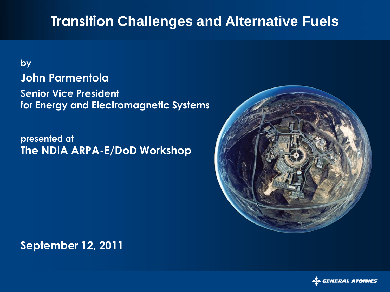#### **Transition Challenges and Alternative Fuels**

#### **by John Parmentola Senior Vice President for Energy and Electromagnetic Systems**

**presented at The NDIA ARPA-E/DoD Workshop** 



**September 12, 2011**

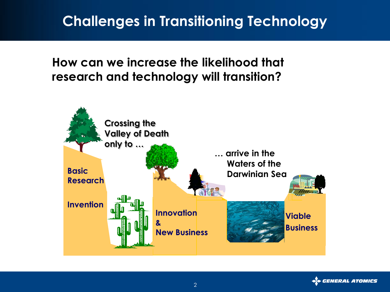## **Challenges in Transitioning Technology**

**How can we increase the likelihood that research and technology will transition?**



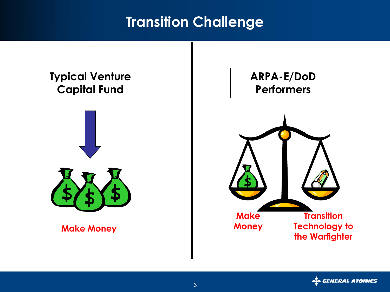### **Transition Challenge**

# **Typical Venture Capital Fund**  $\mathbf{H}$ **Make Money Make Money Transition Technology to the Warfighter ARPA-E/DoD Performers**

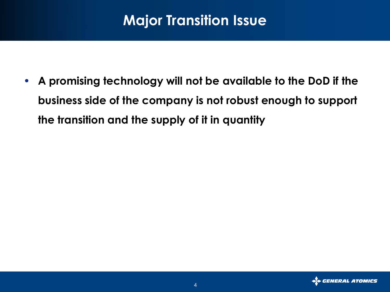## **Major Transition Issue**

• **A promising technology will not be available to the DoD if the business side of the company is not robust enough to support the transition and the supply of it in quantity**

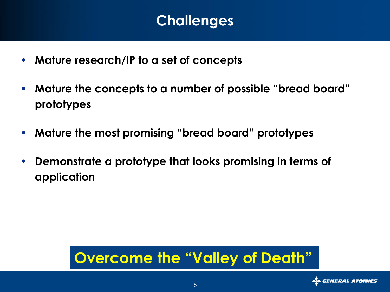### **Challenges**

- **Mature research/IP to a set of concepts**
- **Mature the concepts to a number of possible "bread board" prototypes**
- **Mature the most promising "bread board" prototypes**
- **Demonstrate a prototype that looks promising in terms of application**

# **Overcome the "Valley of Death"**

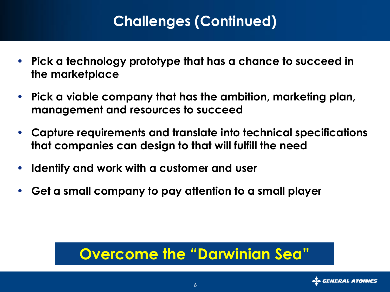## **Challenges (Continued)**

- **Pick a technology prototype that has a chance to succeed in the marketplace**
- **Pick a viable company that has the ambition, marketing plan, management and resources to succeed**
- **Capture requirements and translate into technical specifications that companies can design to that will fulfill the need**
- **Identify and work with a customer and user**
- **Get a small company to pay attention to a small player**

## **Overcome the "Darwinian Sea"**

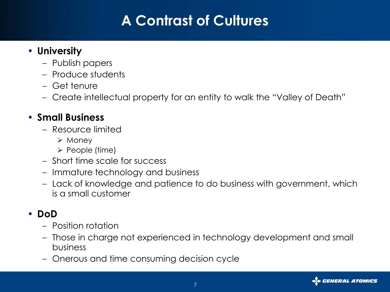## **A Contrast of Cultures**

#### • **University**

- Publish papers
- Produce students
- Get tenure
- Create intellectual property for an entity to walk the "Valley of Death"

#### • **Small Business**

- Resource limited
	- $\triangleright$  Money
	- $\triangleright$  People (time)
- Short time scale for success
- Immature technology and business
- Lack of knowledge and patience to do business with government, which is a small customer

#### • **DoD**

- Position rotation
- Those in charge not experienced in technology development and small business
- Onerous and time consuming decision cycle

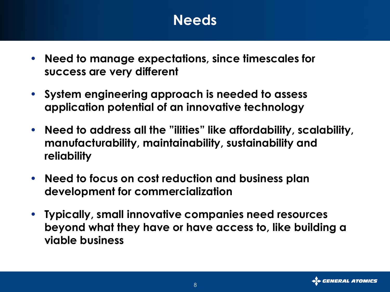### **Needs**

- **Need to manage expectations, since timescales for success are very different**
- **System engineering approach is needed to assess application potential of an innovative technology**
- **Need to address all the "ilities" like affordability, scalability, manufacturability, maintainability, sustainability and reliability**
- **Need to focus on cost reduction and business plan development for commercialization**
- **Typically, small innovative companies need resources beyond what they have or have access to, like building a viable business**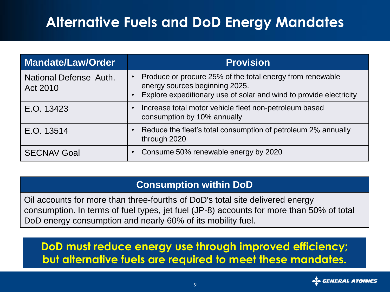## **Alternative Fuels and DoD Energy Mandates**

| <b>Mandate/Law/Order</b>           | <b>Provision</b>                                                                                                                                                  |
|------------------------------------|-------------------------------------------------------------------------------------------------------------------------------------------------------------------|
| National Defense Auth.<br>Act 2010 | Produce or procure 25% of the total energy from renewable<br>energy sources beginning 2025.<br>Explore expeditionary use of solar and wind to provide electricity |
| E.O. 13423                         | Increase total motor vehicle fleet non-petroleum based<br>consumption by 10% annually                                                                             |
| E.O. 13514                         | Reduce the fleet's total consumption of petroleum 2% annually<br>through 2020                                                                                     |
| <b>SECNAV Goal</b>                 | Consume 50% renewable energy by 2020                                                                                                                              |

#### **Consumption within DoD**

Oil accounts for more than three-fourths of DoD's total site delivered energy consumption. In terms of fuel types, jet fuel (JP-8) accounts for more than 50% of total DoD energy consumption and nearly 60% of its mobility fuel.

**DoD must reduce energy use through improved efficiency; but alternative fuels are required to meet these mandates.**

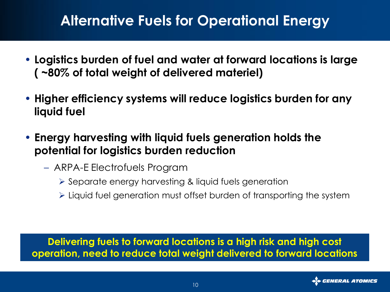### **Alternative Fuels for Operational Energy**

- **Logistics burden of fuel and water at forward locations is large ( ~80% of total weight of delivered materiel)**
- **Higher efficiency systems will reduce logistics burden for any liquid fuel**
- **Energy harvesting with liquid fuels generation holds the potential for logistics burden reduction**
	- ARPA-E Electrofuels Program
		- Separate energy harvesting & liquid fuels generation
		- $\triangleright$  Liquid fuel generation must offset burden of transporting the system

**Delivering fuels to forward locations is a high risk and high cost operation, need to reduce total weight delivered to forward locations**